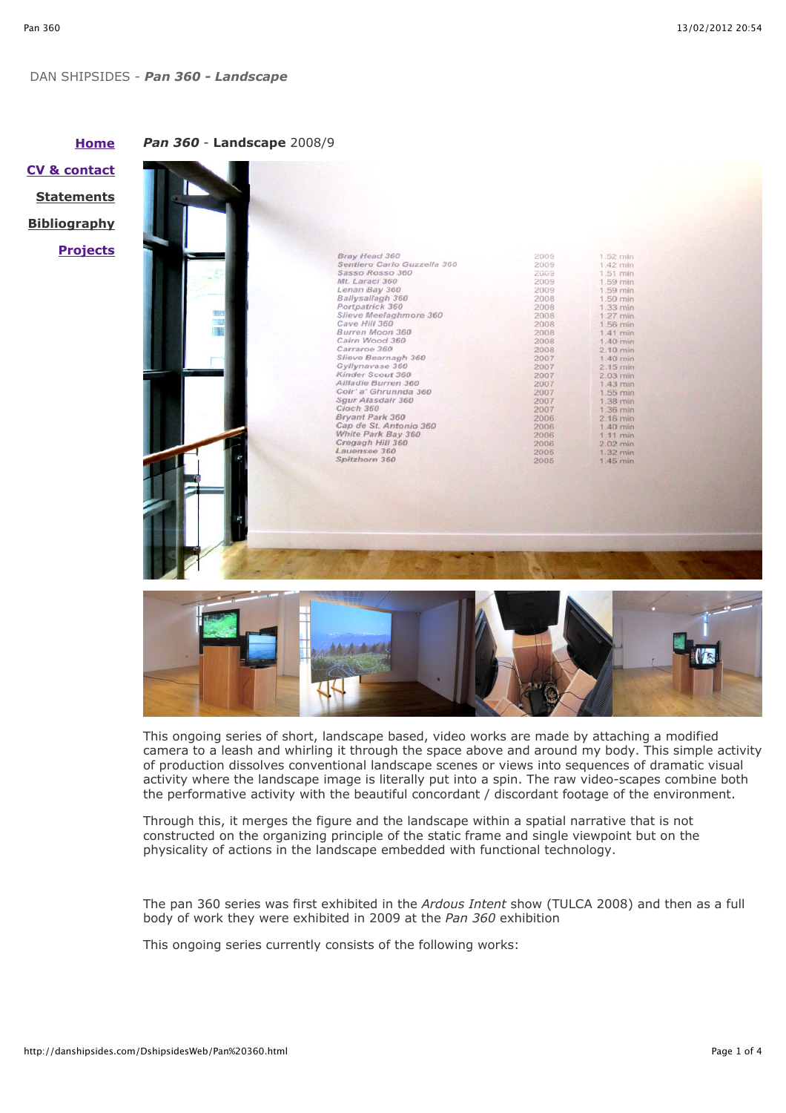## DAN SHIPSIDES - *Pan 360 - Landscape*

*Pan 360* - **Landscape** 2008/9

| поше                    |
|-------------------------|
| <b>CV &amp; contact</b> |
| <u>Statements</u>       |
| <u>Bibliography</u>     |
| <u>Projects</u>         |

**Home**

| Bray Head 360                          | 2009         | 1.52 min             |
|----------------------------------------|--------------|----------------------|
| Sentiero Carlo Guzzella 360            | 2009         | 1.42 min             |
| Sasso Rosso 360                        | 2009         | 1.51 min             |
| Mt. Laraci 360                         | 2009         | 1.59 min             |
| Lenan Bay 360                          | 2009         | 1.59 min             |
| Ballysallagh 360                       | 2008         | 1.50 min             |
| Portpatrick 360                        | 2008         | 1.33 min.            |
| Slieve Meelaghmore 360                 | 2008         | 1.27 min             |
| Cave Hill 360                          | 2008         | 1.56 min             |
| Burren Moon 360                        | 2008         | $1.41$ min           |
| Cairn Wood 360                         | 2008         | 1.40 min             |
| Carraroe 360                           | 2008         | $2.10$ min           |
| Slieve Bearnagh 360                    | 2007         | 1.40 min             |
| Gyllynavase 360                        | 2007         | 2.15 min             |
| Kinder Scout 360                       | 2007         | $2.03$ min           |
| Ailladie Burren 360                    | 2007         | 1.43 min             |
| Coir' a' Ghrunnda 360                  | 2007         | 1.55 min             |
| Sgur Alasdair 360                      | 2007         | 1.38 min             |
| Cloch 360                              | 2007         | 1.36 min             |
| Bryant Park 360                        | 2006         | $2.16$ min           |
| Cap de St. Antonio 360                 | 2006         | 1.40 min             |
| White Park Bay 360<br>Cregagh Hill 360 | 2006         | 1.11 min             |
| Lauensee 360                           | 2006<br>2005 | 2.02 min             |
| Spitzhorn 360                          | 2005         | 1.32 min<br>1.45 min |
|                                        |              |                      |
|                                        |              |                      |



This ongoing series of short, landscape based, video works are made by attaching a modified camera to a leash and whirling it through the space above and around my body. This simple activity of production dissolves conventional landscape scenes or views into sequences of dramatic visual activity where the landscape image is literally put into a spin. The raw video-scapes combine both the performative activity with the beautiful concordant / discordant footage of the environment.

Through this, it merges the figure and the landscape within a spatial narrative that is not constructed on the organizing principle of the static frame and single viewpoint but on the physicality of actions in the landscape embedded with functional technology.

The pan 360 series was first exhibited in the *Ardous Intent* show (TULCA 2008) and then as a full body of work they were exhibited in 2009 at the *Pan 360* exhibition

This ongoing series currently consists of the following works: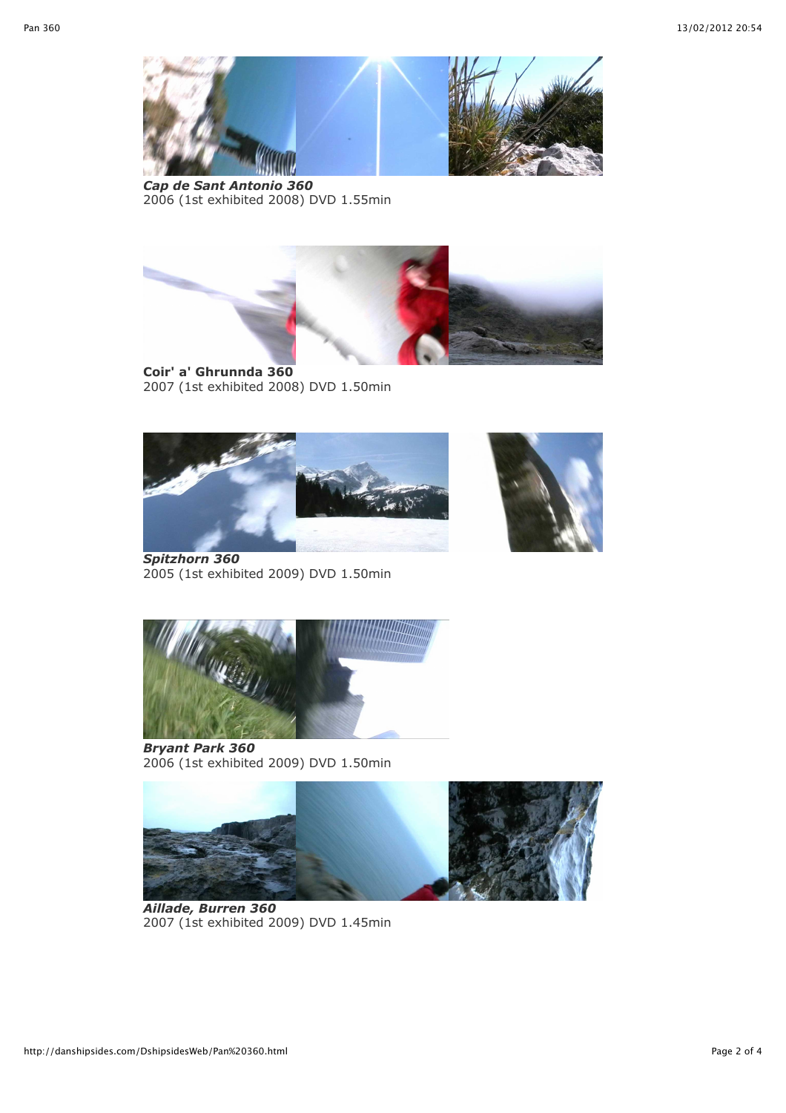

*Cap de Sant Antonio 360* 2006 (1st exhibited 2008) DVD 1.55min



**Coir' a' Ghrunnda 360** 2007 (1st exhibited 2008) DVD 1.50min





*Spitzhorn 360* 2005 (1st exhibited 2009) DVD 1.50min



*Bryant Park 360* 2006 (1st exhibited 2009) DVD 1.50min



*Aillade, Burren 360*  2007 (1st exhibited 2009) DVD 1.45min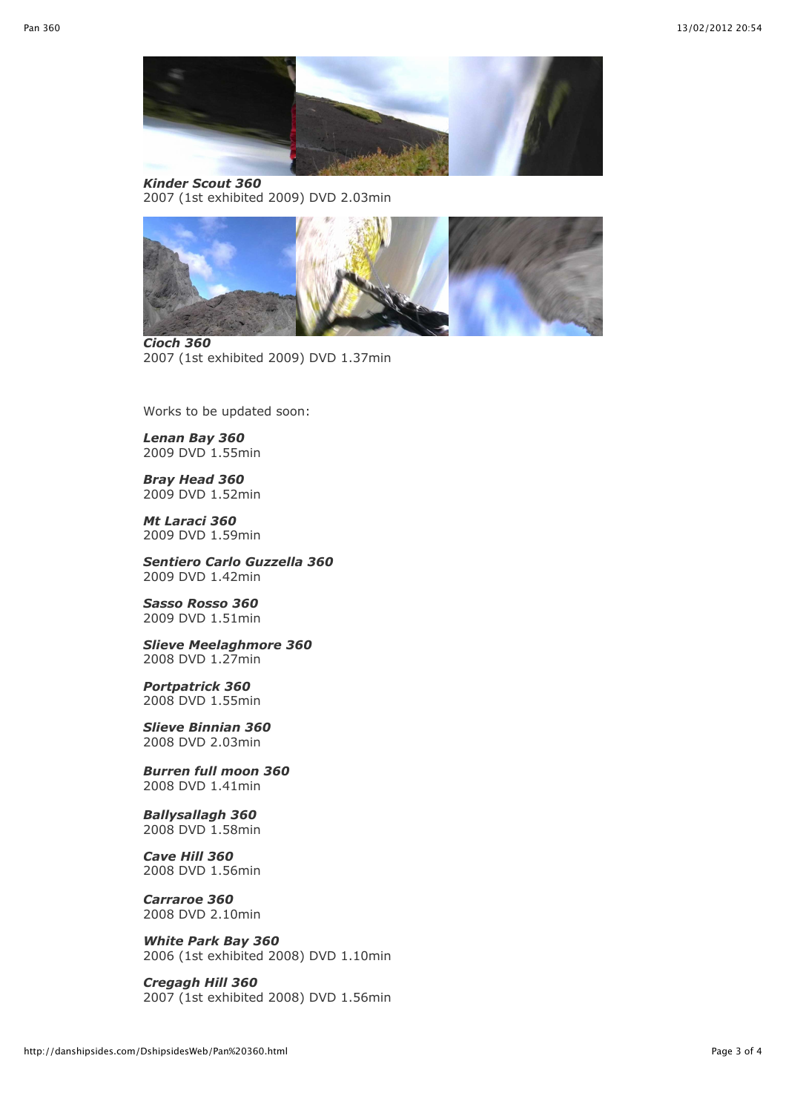

*Kinder Scout 360*  2007 (1st exhibited 2009) DVD 2.03min



*Cioch 360*  2007 (1st exhibited 2009) DVD 1.37min

Works to be updated soon:

*Lenan Bay 360* 2009 DVD 1.55min

*Bray Head 360* 2009 DVD 1.52min

*Mt Laraci 360* 2009 DVD 1.59min

*Sentiero Carlo Guzzella 360* 2009 DVD 1.42min

*Sasso Rosso 360* 2009 DVD 1.51min

*Slieve Meelaghmore 360* 2008 DVD 1.27min

*Portpatrick 360* 2008 DVD 1.55min

*Slieve Binnian 360* 2008 DVD 2.03min

*Burren full moon 360* 2008 DVD 1.41min

*Ballysallagh 360* 2008 DVD 1.58min

*Cave Hill 360* 2008 DVD 1.56min

*Carraroe 360* 2008 DVD 2.10min

*White Park Bay 360*  2006 (1st exhibited 2008) DVD 1.10min

*Cregagh Hill 360*  2007 (1st exhibited 2008) DVD 1.56min